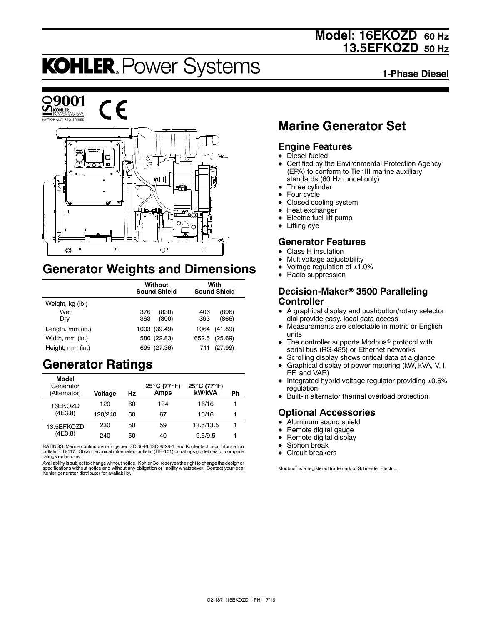## **Model: 16EKOZD 60 Hz 13.5EFKOZD 50 Hz**

# **KOHLER. Power Systems**

**1-Phase Diesel**



## **Generator Weights and Dimensions**

|                  | Without<br><b>Sound Shield</b> | With<br><b>Sound Shield</b> |  |
|------------------|--------------------------------|-----------------------------|--|
| Weight, kg (lb.) |                                |                             |  |
| Wet              | 376<br>(830)                   | (896)<br>406                |  |
| Dry              | 363<br>(800)                   | (866)<br>393                |  |
| Length, mm (in.) | 1003 (39.49)                   | (41.89)<br>1064             |  |
| Width, mm (in.)  | 580 (22.83)                    | 652.5 (25.69)               |  |
| Height, mm (in.) | 695 (27.36)                    | (27.99)<br>711              |  |

## **Generator Ratings**

| Model<br>Generator<br>(Alternator) | Voltage | Hz | 25°C (77°F)<br>Amps | 25°C (77°F)<br>kW/kVA | Ph |
|------------------------------------|---------|----|---------------------|-----------------------|----|
| 16EKOZD                            | 120     | 60 | 134                 | 16/16                 |    |
| (4E3.8)                            | 120/240 | 60 | 67                  | 16/16                 |    |
| 13.5EFKOZD                         | 230     | 50 | 59                  | 13.5/13.5             |    |
| (4E3.8)                            | 240     | 50 | 40                  | 9.5/9.5               |    |

RATINGS: Marine continuous ratings per ISO 3046, ISO 8528-1, and Kohler technical information bulletin TIB-117. Obtain technical information bulletin (TIB-101) on ratings guidelines for complete ratings definitions.

Availability is subject to change without notice. Kohler Co. reserves the right to change the design or specifications without notice and without any obligation or liability whatsoever. Contact your local Kohler generator distributor for availability.

## **Marine Generator Set**

### **Engine Features**

- $\bullet$  Diesel fueled
- Certified by the Environmental Protection Agency (EPA) to conform to Tier III marine auxiliary standards (60 Hz model only)
- Three cylinder
- $\bullet$  Four cycle
- Closed cooling system
- $\bullet$  Heat exchanger
- Electric fuel lift pump
- $\bullet$  Lifting eye

## **Generator Features**

- **Class H** insulation
- Multivoltage adjustability
- Voltage regulation of  $±1.0%$
- Radio suppression

#### **Decision-Maker<sup>®</sup> 3500 Paralleling Controller**

- A graphical display and pushbutton/rotary selector dial provide easy, local data access
- Measurements are selectable in metric or English units
- The controller supports Modbus<sup>®</sup> protocol with serial bus (RS-485) or Ethernet networks
- Scrolling display shows critical data at a glance
- $\bullet$  Graphical display of power metering (kW, kVA, V, I, PF, and VAR)
- $\bullet$  Integrated hybrid voltage regulator providing  $\pm 0.5\%$ regulation
- Built-in alternator thermal overload protection

### **Optional Accessories**

- $\bullet$  Aluminum sound shield
- $\bullet$  Remote digital gauge
- $\bullet$  Remote digital display
- Siphon break
- $\bullet$  Circuit breakers

Modbus<sup>®</sup> is a registered trademark of Schneider Electric.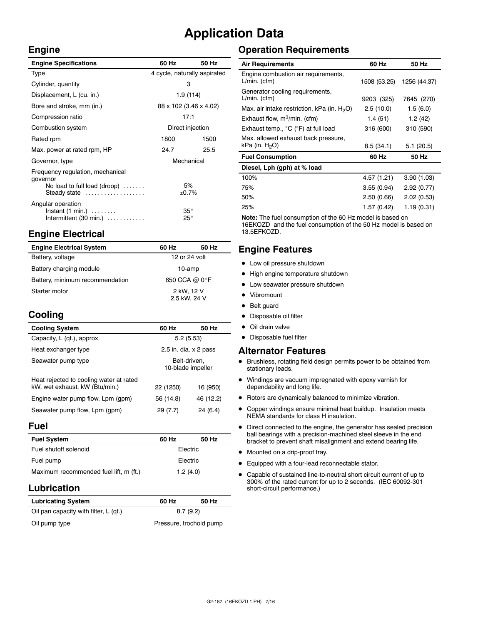## **Application Data**

 $\bar{z}$ 

#### **Engine**

| <b>Engine Specifications</b>                                                                                 | 60 Hz                        | 50 Hz |
|--------------------------------------------------------------------------------------------------------------|------------------------------|-------|
| Type                                                                                                         | 4 cycle, naturally aspirated |       |
| Cylinder, quantity                                                                                           | з                            |       |
| Displacement, L (cu. in.)                                                                                    | 1.9 (114)                    |       |
| Bore and stroke, mm (in.)                                                                                    | 88 x 102 (3.46 x 4.02)       |       |
| Compression ratio                                                                                            | 17:1                         |       |
| Combustion system                                                                                            | Direct injection             |       |
| Rated rpm                                                                                                    | 1800                         | 1500  |
| Max. power at rated rpm, HP                                                                                  | 24.7                         | 25.5  |
| Governor, type                                                                                               | Mechanical                   |       |
| Frequency regulation, mechanical<br>governor<br>No load to full load (droop) $\ldots \ldots$<br>Steady state | 5%<br>±0.7%                  |       |
| Angular operation<br>$Instant (1 min.) \ldots \ldots$<br>Intermittent $(30 \text{ min.})$                    | $35^{\circ}$<br>$25^{\circ}$ |       |

## **Engine Electrical**

| <b>Engine Electrical System</b> | 60 Hz                      | 50 Hz |
|---------------------------------|----------------------------|-------|
| Battery, voltage                | 12 or 24 volt              |       |
| Battery charging module         | 10-amp                     |       |
| Battery, minimum recommendation | 650 CCA @ 0°F              |       |
| Starter motor                   | 2 kW, 12 V<br>2.5 kW, 24 V |       |

## **Cooling**

| <b>Cooling System</b>                                                     | 60 Hz                             | 50 Hz     |
|---------------------------------------------------------------------------|-----------------------------------|-----------|
| Capacity, L (qt.), approx.                                                | 5.2(5.53)                         |           |
| Heat exchanger type                                                       | 2.5 in. dia. $\times$ 2 pass      |           |
| Seawater pump type                                                        | Belt-driven.<br>10-blade impeller |           |
| Heat rejected to cooling water at rated<br>kW, wet exhaust, kW (Btu/min.) | 22 (1250)                         | 16 (950)  |
| Engine water pump flow, Lpm (gpm)                                         | 56 (14.8)                         | 46 (12.2) |
| Seawater pump flow, Lpm (gpm)                                             | 29 (7.7)                          | 24 (6.4)  |

#### **Fuel**

| <b>Fuel System</b>                     | 60 Hz    | 50 Hz |  |
|----------------------------------------|----------|-------|--|
| Fuel shutoff solenoid                  | Electric |       |  |
| Fuel pump                              | Electric |       |  |
| Maximum recommended fuel lift, m (ft.) | 1.2(4.0) |       |  |

### **Lubrication**

| <b>Lubricating System</b>             | 60 Hz                   | 50 Hz |
|---------------------------------------|-------------------------|-------|
| Oil pan capacity with filter, L (qt.) | 8.7(9.2)                |       |
| Oil pump type                         | Pressure, trochoid pump |       |

## **Operation Requirements**

| <b>Air Requirements</b>                                  | 60 Hz        | 50 Hz        |
|----------------------------------------------------------|--------------|--------------|
| Engine combustion air requirements,<br>$L/min.$ (cfm)    | 1508 (53.25) | 1256 (44.37) |
| Generator cooling requirements,<br>$L/min.$ (cfm)        | 9203 (325)   | 7645 (270)   |
| Max. air intake restriction, kPa (in. $H_2O$ )           | 2.5(10.0)    | 1.5(6.0)     |
| Exhaust flow, $m^3/m$ in. (cfm)                          | 1.4 (51)     | 1.2(42)      |
| Exhaust temp., °C (°F) at full load                      | 316 (600)    | 310 (590)    |
| Max. allowed exhaust back pressure,<br>kPa (in. $H_2O$ ) | 8.5(34.1)    | 5.1(20.5)    |
| <b>Fuel Consumption</b>                                  | 60 Hz        | 50 Hz        |
| Diesel, Lph (gph) at % load                              |              |              |
| 100%                                                     | 4.57 (1.21)  | 3.90(1.03)   |
| 75%                                                      | 3.55(0.94)   | 2.92(0.77)   |
| 50%                                                      | 2.50(0.66)   | 2.02(0.53)   |
| 25%                                                      | 1.57 (0.42)  | 1.19 (0.31)  |

**Note:** The fuel consumption of the 60 Hz model is based on 16EKOZD and the fuel consumption of the 50 Hz model is based on 13.5EFKOZD.

## **Engine Features**

- $\bullet$  Low oil pressure shutdown
- High engine temperature shutdown
- Low seawater pressure shutdown
- Vibromount
- Belt guard
- Disposable oil filter
- $\bullet$  Oil drain valve
- Disposable fuel filter

#### **Alternator Features**

- $\bullet$  Brushless, rotating field design permits power to be obtained from stationary leads.
- $\bullet$  Windings are vacuum impregnated with epoxy varnish for dependability and long life.
- $\bullet$  Rotors are dynamically balanced to minimize vibration.
- Copper windings ensure minimal heat buildup. Insulation meets NEMA standards for class H insulation.
- $\bullet$  Direct connected to the engine, the generator has sealed precision ball bearings with a precision-machined steel sleeve in the end bracket to prevent shaft misalignment and extend bearing life.
- $\bullet$  Mounted on a drip-proof tray.
- $\bullet$  Equipped with a four-lead reconnectable stator.
- Capable of sustained line-to-neutral short circuit current of up to 300% of the rated current for up to 2 seconds. (IEC 60092-301 short-circuit performance.)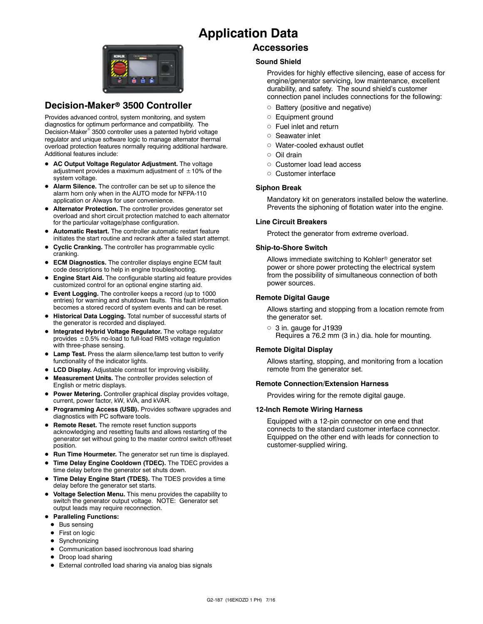## **Application Data**



### **Decision-Maker<sup>®</sup> 3500 Controller**

Provides advanced control, system monitoring, and system diagnostics for optimum performance and compatibility. The Decision-Maker<sup>®</sup> 3500 controller uses a patented hybrid voltage regulator and unique software logic to manage alternator thermal overload protection features normally requiring additional hardware. Additional features include:

- AC Output Voltage Regulator Adjustment. The voltage adjustment provides a maximum adjustment of  $\pm 10\%$  of the system voltage.
- Alarm Silence. The controller can be set up to silence the alarm horn only when in the AUTO mode for NFPA-110 application or Always for user convenience.
- $\bullet$  Alternator Protection. The controller provides generator set overload and short circuit protection matched to each alternator for the particular voltage/phase configuration.
- $\bullet$  Automatic Restart. The controller automatic restart feature initiates the start routine and recrank after a failed start attempt.
- **Cyclic Cranking.** The controller has programmable cyclic cranking.
- **ECM Diagnostics.** The controller displays engine ECM fault code descriptions to help in engine troubleshooting.
- **Engine Start Aid.** The configurable starting aid feature provides customized control for an optional engine starting aid.
- **Event Logging.** The controller keeps a record (up to 1000 entries) for warning and shutdown faults. This fault information becomes a stored record of system events and can be reset.
- **Historical Data Logging.** Total number of successful starts of the generator is recorded and displayed.
- $\bullet$  Integrated Hybrid Voltage Regulator. The voltage regulator provides  $\pm$  0.5% no-load to full-load RMS voltage regulation with three-phase sensing.
- **Lamp Test.** Press the alarm silence/lamp test button to verify functionality of the indicator lights.
- **LCD Display.** Adjustable contrast for improving visibility.
- Measurement Units. The controller provides selection of English or metric displays.
- **Power Metering.** Controller graphical display provides voltage, current, power factor, kW, kVA, and kVAR.
- **Programming Access (USB).** Provides software upgrades and diagnostics with PC software tools.
- **Remote Reset.** The remote reset function supports acknowledging and resetting faults and allows restarting of the generator set without going to the master control switch off/reset position.
- **Run Time Hourmeter.** The generator set run time is displayed.
- Time Delay Engine Cooldown (TDEC). The TDEC provides a time delay before the generator set shuts down.
- Time Delay Engine Start (TDES). The TDES provides a time delay before the generator set starts.
- **Voltage Selection Menu.** This menu provides the capability to switch the generator output voltage. NOTE: Generator set output leads may require reconnection.
- **Paralleling Functions:** 
	- $\bullet$  Bus sensing
	- First on logic
	- Synchronizing
	- Communication based isochronous load sharing
	- Droop load sharing
	- External controlled load sharing via analog bias signals

#### **Accessories**

#### **Sound Shield**

Provides for highly effective silencing, ease of access for engine/generator servicing, low maintenance, excellent durability, and safety. The sound shield's customer connection panel includes connections for the following:

- $\circ$  Battery (positive and negative)
- o Equipment ground
- $\circ$  Fuel inlet and return
- o Seawater inlet
- o Water-cooled exhaust outlet
- d Oil drain
- o Customer load lead access
- o Customer interface

#### **Siphon Break**

Mandatory kit on generators installed below the waterline. Prevents the siphoning of flotation water into the engine.

#### **Line Circuit Breakers**

Protect the generator from extreme overload.

#### **Ship-to-Shore Switch**

Allows immediate switching to Kohler<sup>®</sup> generator set power or shore power protecting the electrical system from the possibility of simultaneous connection of both power sources.

#### **Remote Digital Gauge**

Allows starting and stopping from a location remote from the generator set.

 $\circ$  3 in. gauge for J1939 Requires a 76.2 mm (3 in.) dia. hole for mounting.

#### **Remote Digital Display**

Allows starting, stopping, and monitoring from a location remote from the generator set.

#### **Remote Connection/Extension Harness**

Provides wiring for the remote digital gauge.

#### **12-Inch Remote Wiring Harness**

Equipped with a 12-pin connector on one end that connects to the standard customer interface connector. Equipped on the other end with leads for connection to customer-supplied wiring.